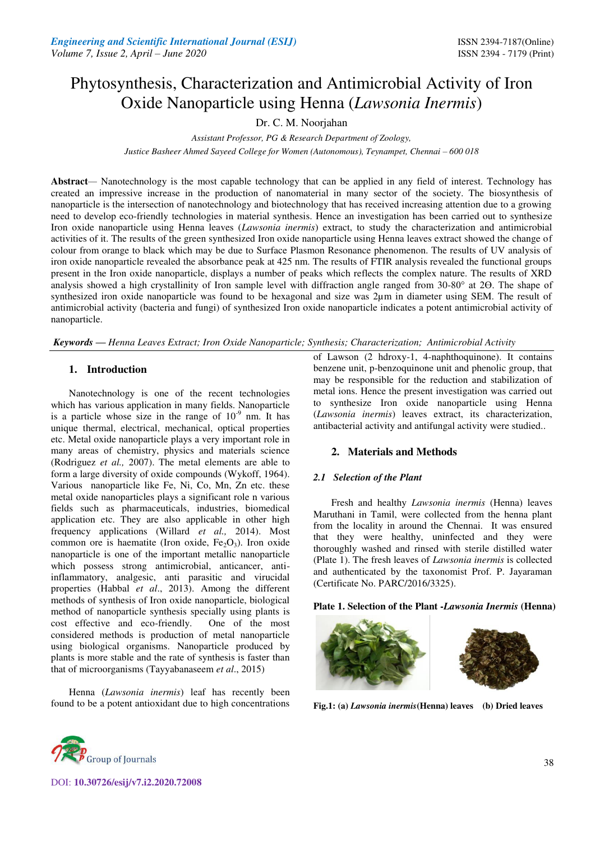# Phytosynthesis, Characterization and Antimicrobial Activity of Iron Oxide Nanoparticle using Henna (*Lawsonia Inermis*)

Dr. C. M. Noorjahan

*Assistant Professor, PG & Research Department of Zoology,* 

*Justice Basheer Ahmed Sayeed College for Women (Autonomous), Teynampet, Chennai – 600 018* 

**Abstract***—* Nanotechnology is the most capable technology that can be applied in any field of interest. Technology has created an impressive increase in the production of nanomaterial in many sector of the society. The biosynthesis of nanoparticle is the intersection of nanotechnology and biotechnology that has received increasing attention due to a growing need to develop eco-friendly technologies in material synthesis. Hence an investigation has been carried out to synthesize Iron oxide nanoparticle using Henna leaves (*Lawsonia inermis*) extract, to study the characterization and antimicrobial activities of it. The results of the green synthesized Iron oxide nanoparticle using Henna leaves extract showed the change of colour from orange to black which may be due to Surface Plasmon Resonance phenomenon. The results of UV analysis of iron oxide nanoparticle revealed the absorbance peak at 425 nm. The results of FTIR analysis revealed the functional groups present in the Iron oxide nanoparticle, displays a number of peaks which reflects the complex nature. The results of XRD analysis showed a high crystallinity of Iron sample level with diffraction angle ranged from 30-80° at 2 $\Theta$ . The shape of synthesized iron oxide nanoparticle was found to be hexagonal and size was  $2\mu$ m in diameter using SEM. The result of antimicrobial activity (bacteria and fungi) of synthesized Iron oxide nanoparticle indicates a potent antimicrobial activity of nanoparticle.

*Keywords* **—** *Henna Leaves Extract; Iron Oxide Nanoparticle; Synthesis; Characterization; Antimicrobial Activity* 

# **1. Introduction**

Nanotechnology is one of the recent technologies which has various application in many fields. Nanoparticle is a particle whose size in the range of  $10^{-9}$  nm. It has unique thermal, electrical, mechanical, optical properties etc. Metal oxide nanoparticle plays a very important role in many areas of chemistry, physics and materials science (Rodriguez *et al.,* 2007). The metal elements are able to form a large diversity of oxide compounds (Wykoff, 1964). Various nanoparticle like Fe, Ni, Co, Mn, Zn etc. these metal oxide nanoparticles plays a significant role n various fields such as pharmaceuticals, industries, biomedical application etc. They are also applicable in other high frequency applications (Willard *et al.,* 2014). Most common ore is haematite (Iron oxide,  $Fe<sub>2</sub>O<sub>3</sub>$ ). Iron oxide nanoparticle is one of the important metallic nanoparticle which possess strong antimicrobial, anticancer, antiinflammatory, analgesic, anti parasitic and virucidal properties (Habbal *et al*., 2013). Among the different methods of synthesis of Iron oxide nanoparticle, biological method of nanoparticle synthesis specially using plants is cost effective and eco-friendly. One of the most considered methods is production of metal nanoparticle using biological organisms. Nanoparticle produced by plants is more stable and the rate of synthesis is faster than that of microorganisms (Tayyabanaseem *et al*., 2015)

Henna (*Lawsonia inermis*) leaf has recently been found to be a potent antioxidant due to high concentrations of Lawson (2 hdroxy-1, 4-naphthoquinone). It contains benzene unit, p-benzoquinone unit and phenolic group, that may be responsible for the reduction and stabilization of metal ions. Hence the present investigation was carried out to synthesize Iron oxide nanoparticle using Henna (*Lawsonia inermis*) leaves extract, its characterization, antibacterial activity and antifungal activity were studied..

# **2. Materials and Methods**

# *2.1 Selection of the Plant*

Fresh and healthy *Lawsonia inermis* (Henna) leaves Maruthani in Tamil, were collected from the henna plant from the locality in around the Chennai. It was ensured that they were healthy, uninfected and they were thoroughly washed and rinsed with sterile distilled water (Plate 1). The fresh leaves of *Lawsonia inermis* is collected and authenticated by the taxonomist Prof. P. Jayaraman (Certificate No. PARC/2016/3325).

# **Plate 1. Selection of the Plant -***Lawsonia Inermis* **(Henna)**



**Fig.1: (a)** *Lawsonia inermis***(Henna) leaves (b) Dried leaves** 



DOI: **10.30726/esij/v7.i2.2020.72008**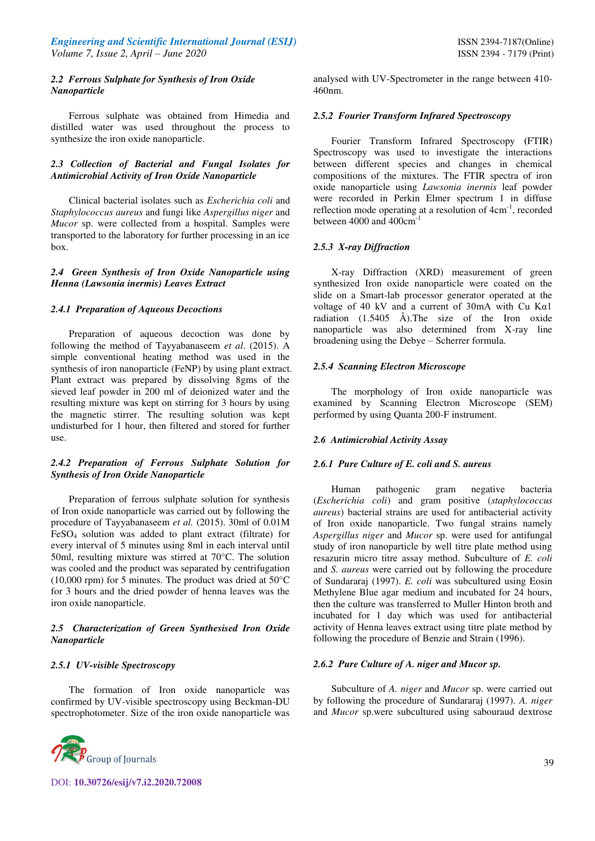## *2.2 Ferrous Sulphate for Synthesis of Iron Oxide Nanoparticle*

Ferrous sulphate was obtained from Himedia and distilled water was used throughout the process to synthesize the iron oxide nanoparticle.

## *2.3 Collection of Bacterial and Fungal Isolates for Antimicrobial Activity of Iron Oxide Nanoparticle*

Clinical bacterial isolates such as *Escherichia coli* and *Staphylococcus aureus* and fungi like *Aspergillus niger* and *Mucor* sp. were collected from a hospital. Samples were transported to the laboratory for further processing in an ice box.

## *2.4 Green Synthesis of Iron Oxide Nanoparticle using Henna (Lawsonia inermis) Leaves Extract*

#### *2.4.1 Preparation of Aqueous Decoctions*

Preparation of aqueous decoction was done by following the method of Tayyabanaseem *et al*. (2015). A simple conventional heating method was used in the synthesis of iron nanoparticle (FeNP) by using plant extract. Plant extract was prepared by dissolving 8gms of the sieved leaf powder in 200 ml of deionized water and the resulting mixture was kept on stirring for 3 hours by using the magnetic stirrer. The resulting solution was kept undisturbed for 1 hour, then filtered and stored for further use.

# *2.4.2 Preparation of Ferrous Sulphate Solution for Synthesis of Iron Oxide Nanoparticle*

Preparation of ferrous sulphate solution for synthesis of Iron oxide nanoparticle was carried out by following the procedure of Tayyabanaseem *et al.* (2015). 30ml of 0.01M FeSO4 solution was added to plant extract (filtrate) for every interval of 5 minutes using 8ml in each interval until 50ml, resulting mixture was stirred at 70°C. The solution was cooled and the product was separated by centrifugation  $(10,000 \text{ rpm})$  for 5 minutes. The product was dried at 50 $\degree$ C for 3 hours and the dried powder of henna leaves was the iron oxide nanoparticle.

# *2.5 Characterization of Green Synthesised Iron Oxide Nanoparticle*

#### *2.5.1 UV-visible Spectroscopy*

The formation of Iron oxide nanoparticle was confirmed by UV-visible spectroscopy using Beckman-DU spectrophotometer. Size of the iron oxide nanoparticle was



analysed with UV-Spectrometer in the range between 410- 460nm.

### *2.5.2 Fourier Transform Infrared Spectroscopy*

Fourier Transform Infrared Spectroscopy **(**FTIR) Spectroscopy was used to investigate the interactions between different species and changes in chemical compositions of the mixtures. The FTIR spectra of iron oxide nanoparticle using *Lawsonia inermis* leaf powder were recorded in Perkin Elmer spectrum 1 in diffuse reflection mode operating at a resolution of 4cm<sup>-1</sup>, recorded between 4000 and 400cm<sup>-1</sup>

## *2.5.3 X-ray Diffraction*

X-ray Diffraction (XRD) measurement of green synthesized Iron oxide nanoparticle were coated on the slide on a Smart-lab processor generator operated at the voltage of 40 kV and a current of 30mA with Cu Kα1 radiation (1.5405 Å).The size of the Iron oxide nanoparticle was also determined from X-ray line broadening using the Debye – Scherrer formula.

#### *2.5.4 Scanning Electron Microscope*

The morphology of Iron oxide nanoparticle was examined by Scanning Electron Microscope (SEM) performed by using Quanta 200-F instrument.

#### *2.6 Antimicrobial Activity Assay*

#### *2.6.1 Pure Culture of E. coli and S. aureus*

Human pathogenic gram negative bacteria (*Escherichia coli*) and gram positive (*staphylococcus aureus*) bacterial strains are used for antibacterial activity of Iron oxide nanoparticle. Two fungal strains namely *Aspergillus niger* and *Mucor* sp. were used for antifungal study of iron nanoparticle by well titre plate method using resazurin micro titre assay method. Subculture of *E. coli*  and *S. aureus* were carried out by following the procedure of Sundararaj (1997). *E. coli* was subcultured using Eosin Methylene Blue agar medium and incubated for 24 hours, then the culture was transferred to Muller Hinton broth and incubated for 1 day which was used for antibacterial activity of Henna leaves extract using titre plate method by following the procedure of Benzie and Strain (1996).

#### *2.6.2 Pure Culture of A. niger and Mucor sp.*

Subculture of *A. niger* and *Mucor* sp. were carried out by following the procedure of Sundararaj (1997). *A. niger*  and *Mucor* sp.were subcultured using sabouraud dextrose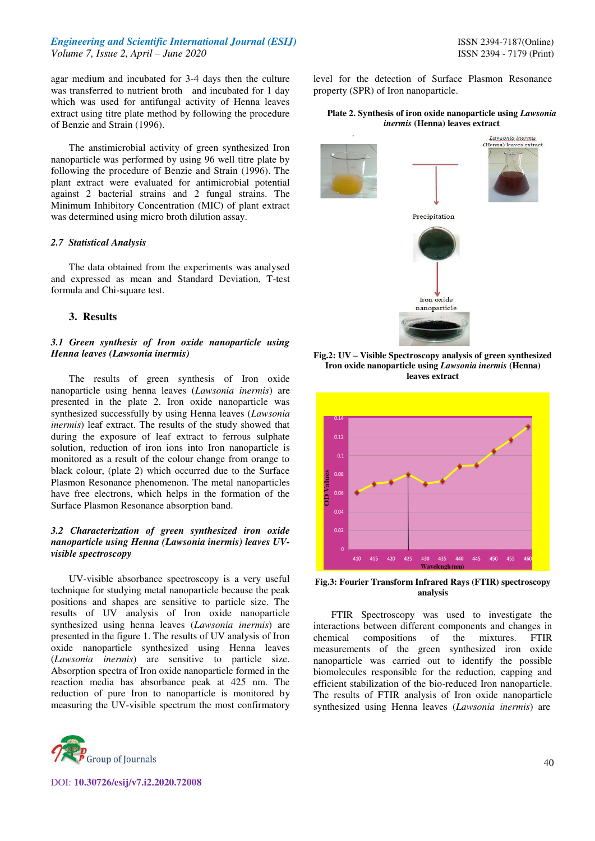agar medium and incubated for 3-4 days then the culture was transferred to nutrient broth and incubated for 1 day which was used for antifungal activity of Henna leaves extract using titre plate method by following the procedure of Benzie and Strain (1996).

The anstimicrobial activity of green synthesized Iron nanoparticle was performed by using 96 well titre plate by following the procedure of Benzie and Strain (1996). The plant extract were evaluated for antimicrobial potential against 2 bacterial strains and 2 fungal strains. The Minimum Inhibitory Concentration (MIC) of plant extract was determined using micro broth dilution assay.

## *2.7 Statistical Analysis*

The data obtained from the experiments was analysed and expressed as mean and Standard Deviation, T-test formula and Chi-square test.

## **3. Results**

## *3.1 Green synthesis of Iron oxide nanoparticle using Henna leaves (Lawsonia inermis)*

The results of green synthesis of Iron oxide nanoparticle using henna leaves (*Lawsonia inermis*) are presented in the plate 2. Iron oxide nanoparticle was synthesized successfully by using Henna leaves (*Lawsonia inermis*) leaf extract. The results of the study showed that during the exposure of leaf extract to ferrous sulphate solution, reduction of iron ions into Iron nanoparticle is monitored as a result of the colour change from orange to black colour, (plate 2) which occurred due to the Surface Plasmon Resonance phenomenon. The metal nanoparticles have free electrons, which helps in the formation of the Surface Plasmon Resonance absorption band.

# *3.2 Characterization of green synthesized iron oxide nanoparticle using Henna (Lawsonia inermis) leaves UVvisible spectroscopy*

UV-visible absorbance spectroscopy is a very useful technique for studying metal nanoparticle because the peak positions and shapes are sensitive to particle size. The results of UV analysis of Iron oxide nanoparticle synthesized using henna leaves (*Lawsonia inermis*) are presented in the figure 1. The results of UV analysis of Iron oxide nanoparticle synthesized using Henna leaves (*Lawsonia inermis*) are sensitive to particle size. Absorption spectra of Iron oxide nanoparticle formed in the reaction media has absorbance peak at 425 nm. The reduction of pure Iron to nanoparticle is monitored by measuring the UV-visible spectrum the most confirmatory



DOI: **10.30726/esij/v7.i2.2020.72008**

level for the detection of Surface Plasmon Resonance property (SPR) of Iron nanoparticle.

#### **Plate 2. Synthesis of iron oxide nanoparticle using** *Lawsonia inermis* **(Henna) leaves extract**



**Fig.2: UV – Visible Spectroscopy analysis of green synthesized Iron oxide nanoparticle using** *Lawsonia inermis* **(Henna) leaves extract** 



**Fig.3: Fourier Transform Infrared Rays (FTIR) spectroscopy analysis**

FTIR Spectroscopy was used to investigate the interactions between different components and changes in chemical compositions of the mixtures. FTIR measurements of the green synthesized iron oxide nanoparticle was carried out to identify the possible biomolecules responsible for the reduction, capping and efficient stabilization of the bio-reduced Iron nanoparticle. The results of FTIR analysis of Iron oxide nanoparticle synthesized using Henna leaves (*Lawsonia inermis*) are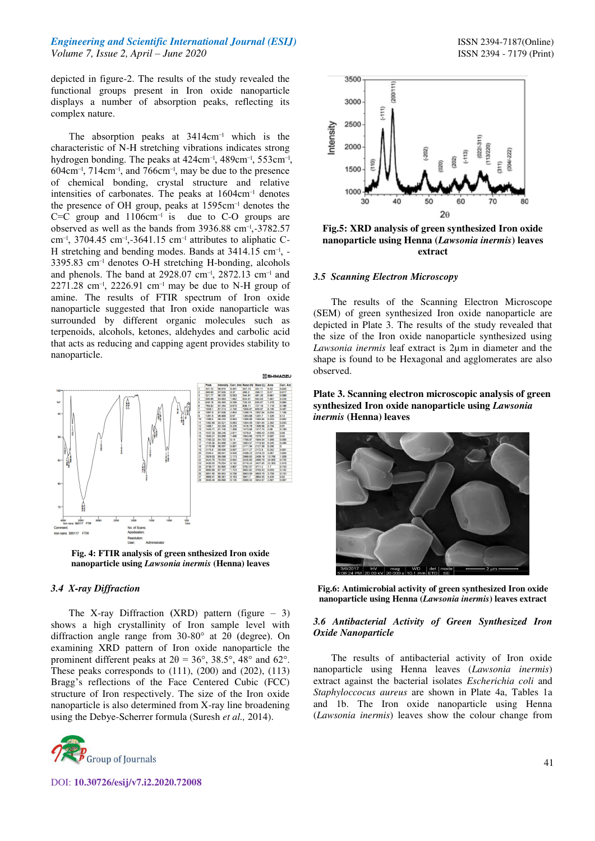depicted in figure-2. The results of the study revealed the functional groups present in Iron oxide nanoparticle displays a number of absorption peaks, reflecting its complex nature.

The absorption peaks at  $3414 \text{cm}^{-1}$  which is the characteristic of N-H stretching vibrations indicates strong hydrogen bonding. The peaks at 424cm<sup>-1</sup>, 489cm<sup>-1</sup>, 553cm<sup>-1</sup>,  $604<sub>cm</sub><sup>-1</sup>$ ,  $714<sub>cm</sub><sup>-1</sup>$ , and  $766<sub>cm</sub><sup>-1</sup>$ , may be due to the presence of chemical bonding, crystal structure and relative intensities of carbonates. The peaks at  $1604 \text{cm}^{-1}$  denotes the presence of OH group, peaks at 1595cm<sup>-1</sup> denotes the  $C=C$  group and  $1106 \text{cm}^{-1}$  is due to C-O groups are observed as well as the bands from 3936.88 cm<sup>-1</sup>,-3782.57 cm<sup>-1</sup>, 3704.45 cm<sup>-1</sup>,-3641.15 cm<sup>-1</sup> attributes to aliphatic C-H stretching and bending modes. Bands at 3414.15 cm<sup>-1</sup>, - $3395.83$  cm<sup>-1</sup> denotes O-H stretching H-bonding, alcohols and phenols. The band at  $2928.07$  cm<sup>-1</sup>,  $2872.13$  cm<sup>-1</sup> and  $2271.28$  cm<sup>-1</sup>,  $2226.91$  cm<sup>-1</sup> may be due to N-H group of amine. The results of FTIR spectrum of Iron oxide nanoparticle suggested that Iron oxide nanoparticle was surrounded by different organic molecules such as terpenoids, alcohols, ketones, aldehydes and carbolic acid that acts as reducing and capping agent provides stability to nanoparticle.



**Fig. 4: FTIR analysis of green snthesized Iron oxide nanoparticle using** *Lawsonia inermis* **(Henna) leaves** 

#### *3.4 X-ray Diffraction*

The X-ray Diffraction **(**XRD) pattern (figure – 3) shows a high crystallinity of Iron sample level with diffraction angle range from 30-80° at 2θ (degree). On examining XRD pattern of Iron oxide nanoparticle the prominent different peaks at  $2\theta = 36^{\circ}$ ,  $38.5^{\circ}$ ,  $48^{\circ}$  and  $62^{\circ}$ . These peaks corresponds to  $(111)$ ,  $(200)$  and  $(202)$ ,  $(113)$ Bragg's reflections of the Face Centered Cubic (FCC) structure of Iron respectively. The size of the Iron oxide nanoparticle is also determined from X-ray line broadening using the Debye-Scherrer formula (Suresh *et al.,* 2014).





**Fig.5: XRD analysis of green synthesized Iron oxide nanoparticle using Henna (***Lawsonia inermis***) leaves extract** 

#### *3.5 Scanning Electron Microscopy*

The results of the Scanning Electron Microscope (SEM) of green synthesized Iron oxide nanoparticle are depicted in Plate 3. The results of the study revealed that the size of the Iron oxide nanoparticle synthesized using *Lawsonia inermis* leaf extract is 2µm in diameter and the shape is found to be Hexagonal and agglomerates are also observed.

## **Plate 3. Scanning electron microscopic analysis of green synthesized Iron oxide nanoparticle using** *Lawsonia inermis* **(Henna) leaves**



**Fig.6: Antimicrobial activity of green synthesized Iron oxide nanoparticle using Henna (***Lawsonia inermis***) leaves extract** 

## *3.6 Antibacterial Activity of Green Synthesized Iron Oxide Nanoparticle*

The results of antibacterial activity of Iron oxide nanoparticle using Henna leaves (*Lawsonia inermis*) extract against the bacterial isolates *Escherichia coli* and *Staphyloccocus aureus* are shown in Plate 4a, Tables 1a and 1b. The Iron oxide nanoparticle using Henna (*Lawsonia inermis*) leaves show the colour change from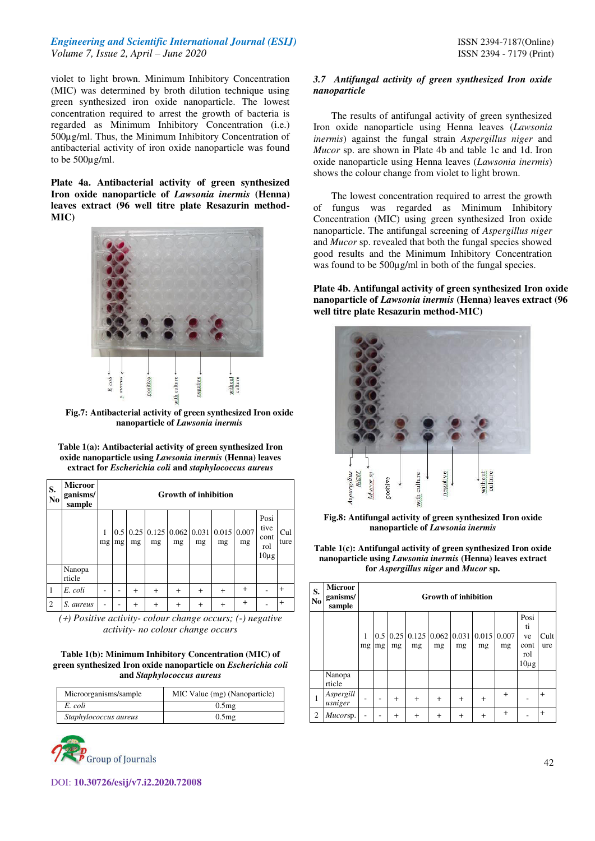violet to light brown. Minimum Inhibitory Concentration (MIC) was determined by broth dilution technique using green synthesized iron oxide nanoparticle. The lowest concentration required to arrest the growth of bacteria is regarded as Minimum Inhibitory Concentration (i.e.) 500µg/ml. Thus, the Minimum Inhibitory Concentration of antibacterial activity of iron oxide nanoparticle was found to be 500µg/ml.

**Plate 4a. Antibacterial activity of green synthesized Iron oxide nanoparticle of** *Lawsonia inermis* **(Henna) leaves extract (96 well titre plate Resazurin method-MIC)** 



**Fig.7: Antibacterial activity of green synthesized Iron oxide nanoparticle of** *Lawsonia inermis* 

| Table 1(a): Antibacterial activity of green synthesized Iron    |
|-----------------------------------------------------------------|
| oxide nanoparticle using <i>Lawsonia inermis</i> (Henna) leaves |
| extract for Escherichia coli and staphylococcus aureus          |

| S.<br>$\mathbf{N}\mathbf{0}$ | <b>Microor</b><br>ganisms/<br>sample | <b>Growth of inhibition</b> |    |                |                                                                  |           |           |                |           |                                          |             |
|------------------------------|--------------------------------------|-----------------------------|----|----------------|------------------------------------------------------------------|-----------|-----------|----------------|-----------|------------------------------------------|-------------|
|                              |                                      | 1<br>mg                     | mg | mg             | $0.5 \, 0.25 \, 0.125 \, 0.062 \, 0.031 \, 0.015 \, 0.007$<br>mg | mg        | mg        | mg             | mg        | Posi<br>tive<br>cont<br>rol<br>$10\mu g$ | Cul<br>ture |
|                              | Nanopa<br>rticle                     |                             |    |                |                                                                  |           |           |                |           |                                          |             |
| 1                            | E. coli                              |                             |    | $^{+}$         | $\ddot{}$                                                        | $^{+}$    | $\ddot{}$ | $^{+}$         | $\ddot{}$ |                                          | $\ddot{}$   |
| $\overline{2}$               | S. aureus                            |                             |    | $\overline{+}$ | $\,{}^+$                                                         | $\ddot{}$ | $\ddot{}$ | $\overline{+}$ | $^{+}$    |                                          | $\ddot{}$   |

*<sup>(</sup>) Positive activity- colour change occurs; (-) negative activity- no colour change occurs* 

#### **Table 1(b): Minimum Inhibitory Concentration (MIC) of green synthesized Iron oxide nanoparticle on** *Escherichia coli*  **and** *Staphylococcus aureus*

| Microorganisms/sample | MIC Value (mg) (Nanoparticle) |
|-----------------------|-------------------------------|
| E. coli               | 0.5 <sub>mg</sub>             |
| Staphylococcus aureus | 0.5 <sub>mg</sub>             |



## *3.7 Antifungal activity of green synthesized Iron oxide nanoparticle*

The results of antifungal activity of green synthesized Iron oxide nanoparticle using Henna leaves (*Lawsonia inermis*) against the fungal strain *Aspergillus niger* and *Mucor* sp. are shown in Plate 4b and table 1c and 1d. Iron oxide nanoparticle using Henna leaves (*Lawsonia inermis*) shows the colour change from violet to light brown.

The lowest concentration required to arrest the growth of fungus was regarded as Minimum Inhibitory Concentration (MIC) using green synthesized Iron oxide nanoparticle. The antifungal screening of *Aspergillus niger* and *Mucor* sp. revealed that both the fungal species showed good results and the Minimum Inhibitory Concentration was found to be  $500\mu\text{g/ml}$  in both of the fungal species.

**Plate 4b. Antifungal activity of green synthesized Iron oxide nanoparticle of** *Lawsonia inermis* **(Henna) leaves extract (96 well titre plate Resazurin method-MIC)** 



**Fig.8: Antifungal activity of green synthesized Iron oxide nanoparticle of** *Lawsonia inermis* 

**Table 1(c): Antifungal activity of green synthesized Iron oxide nanoparticle using** *Lawsonia inermis* **(Henna) leaves extract for** *Aspergillus niger* **and** *Mucor* **sp.**

| S.<br>No       | <b>Microor</b><br>ganisms/<br>sample | <b>Growth of inhibition</b> |    |        |           |        |                                                                              |           |           |                                              |             |
|----------------|--------------------------------------|-----------------------------|----|--------|-----------|--------|------------------------------------------------------------------------------|-----------|-----------|----------------------------------------------|-------------|
|                |                                      | mg                          | mg | mg     | mg        | mg     | $0.5 \mid 0.25 \mid 0.125 \mid 0.062 \mid 0.031 \mid 0.015 \mid 0.007$<br>mg | mg        | mg        | Posi<br>ti<br>ve<br>cont<br>rol<br>$10\mu$ g | Cult<br>ure |
|                | Nanopa<br>rticle                     |                             |    |        |           |        |                                                                              |           |           |                                              |             |
| 1              | Aspergill<br>usniger                 |                             |    | $^{+}$ | $\ddot{}$ | $^{+}$ | $\ddot{}$                                                                    | $\ddot{}$ | $\ddot{}$ |                                              | $+$         |
| $\overline{c}$ | Mucorsp.                             |                             |    | $^{+}$ | $^{+}$    | $^{+}$ | $\pm$                                                                        | $^{+}$    | $^{+}$    |                                              | $\ddot{}$   |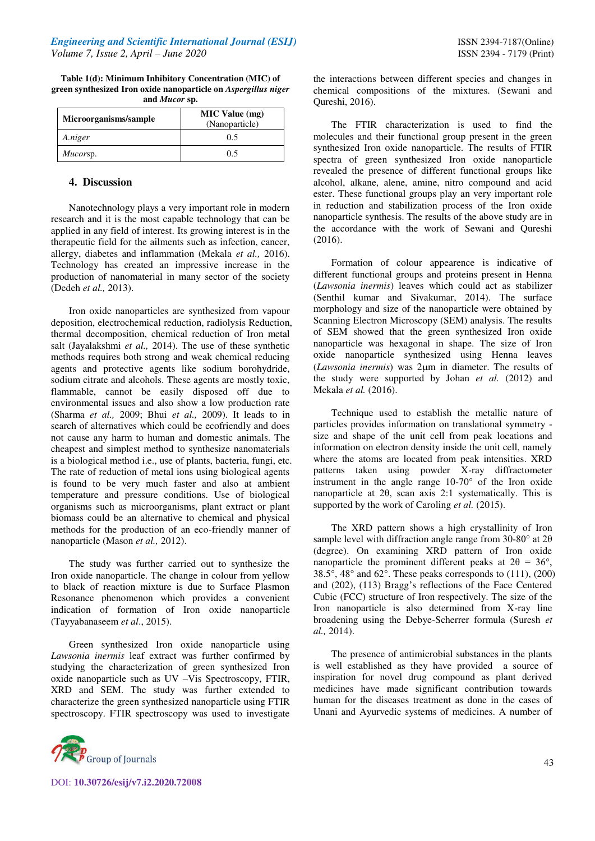| Table 1(d): Minimum Inhibitory Concentration (MIC) of          |
|----------------------------------------------------------------|
| green synthesized Iron oxide nanoparticle on Aspergillus niger |
| and <i>Mucor</i> sp.                                           |

| Microorganisms/sample | <b>MIC Value</b> (mg)<br>(Nanoparticle) |
|-----------------------|-----------------------------------------|
| A.niger               | 0.5                                     |
| Mucorsp.              | 0.5                                     |

# **4. Discussion**

Nanotechnology plays a very important role in modern research and it is the most capable technology that can be applied in any field of interest. Its growing interest is in the therapeutic field for the ailments such as infection, cancer, allergy, diabetes and inflammation (Mekala *et al.,* 2016). Technology has created an impressive increase in the production of nanomaterial in many sector of the society (Dedeh *et al.,* 2013).

Iron oxide nanoparticles are synthesized from vapour deposition, electrochemical reduction, radiolysis Reduction, thermal decomposition, chemical reduction of Iron metal salt (Jayalakshmi *et al.,* 2014). The use of these synthetic methods requires both strong and weak chemical reducing agents and protective agents like sodium borohydride, sodium citrate and alcohols. These agents are mostly toxic, flammable, cannot be easily disposed off due to environmental issues and also show a low production rate (Sharma *et al.,* 2009; Bhui *et al.,* 2009). It leads to in search of alternatives which could be ecofriendly and does not cause any harm to human and domestic animals. The cheapest and simplest method to synthesize nanomaterials is a biological method i.e., use of plants, bacteria, fungi, etc. The rate of reduction of metal ions using biological agents is found to be very much faster and also at ambient temperature and pressure conditions. Use of biological organisms such as microorganisms, plant extract or plant biomass could be an alternative to chemical and physical methods for the production of an eco-friendly manner of nanoparticle (Mason *et al.,* 2012).

The study was further carried out to synthesize the Iron oxide nanoparticle. The change in colour from yellow to black of reaction mixture is due to Surface Plasmon Resonance phenomenon which provides a convenient indication of formation of Iron oxide nanoparticle (Tayyabanaseem *et al*., 2015).

Green synthesized Iron oxide nanoparticle using *Lawsonia inermis* leaf extract was further confirmed by studying the characterization of green synthesized Iron oxide nanoparticle such as UV –Vis Spectroscopy, FTIR, XRD and SEM. The study was further extended to characterize the green synthesized nanoparticle using FTIR spectroscopy. FTIR spectroscopy was used to investigate



DOI: **10.30726/esij/v7.i2.2020.72008**

the interactions between different species and changes in chemical compositions of the mixtures. (Sewani and Qureshi, 2016).

The FTIR characterization is used to find the molecules and their functional group present in the green synthesized Iron oxide nanoparticle. The results of FTIR spectra of green synthesized Iron oxide nanoparticle revealed the presence of different functional groups like alcohol, alkane, alene, amine, nitro compound and acid ester. These functional groups play an very important role in reduction and stabilization process of the Iron oxide nanoparticle synthesis. The results of the above study are in the accordance with the work of Sewani and Qureshi (2016).

Formation of colour appearence is indicative of different functional groups and proteins present in Henna (*Lawsonia inermis*) leaves which could act as stabilizer (Senthil kumar and Sivakumar, 2014). The surface morphology and size of the nanoparticle were obtained by Scanning Electron Microscopy (SEM) analysis. The results of SEM showed that the green synthesized Iron oxide nanoparticle was hexagonal in shape. The size of Iron oxide nanoparticle synthesized using Henna leaves (*Lawsonia inermis*) was 2 $\mu$ m in diameter. The results of the study were supported by Johan *et al.* (2012) and Mekala *et al.* (2016).

Technique used to establish the metallic nature of particles provides information on translational symmetry size and shape of the unit cell from peak locations and information on electron density inside the unit cell, namely where the atoms are located from peak intensities. XRD patterns taken using powder X-ray diffractometer instrument in the angle range 10-70° of the Iron oxide nanoparticle at 2θ, scan axis 2:1 systematically. This is supported by the work of Caroling *et al.* (2015).

The XRD pattern shows a high crystallinity of Iron sample level with diffraction angle range from 30-80° at 2θ (degree). On examining XRD pattern of Iron oxide nanoparticle the prominent different peaks at  $2\theta = 36^{\circ}$ , 38.5°, 48° and 62°. These peaks corresponds to (111), (200) and (202), (113) Bragg's reflections of the Face Centered Cubic (FCC) structure of Iron respectively. The size of the Iron nanoparticle is also determined from X-ray line broadening using the Debye-Scherrer formula (Suresh *et al.,* 2014).

The presence of antimicrobial substances in the plants is well established as they have provided a source of inspiration for novel drug compound as plant derived medicines have made significant contribution towards human for the diseases treatment as done in the cases of Unani and Ayurvedic systems of medicines. A number of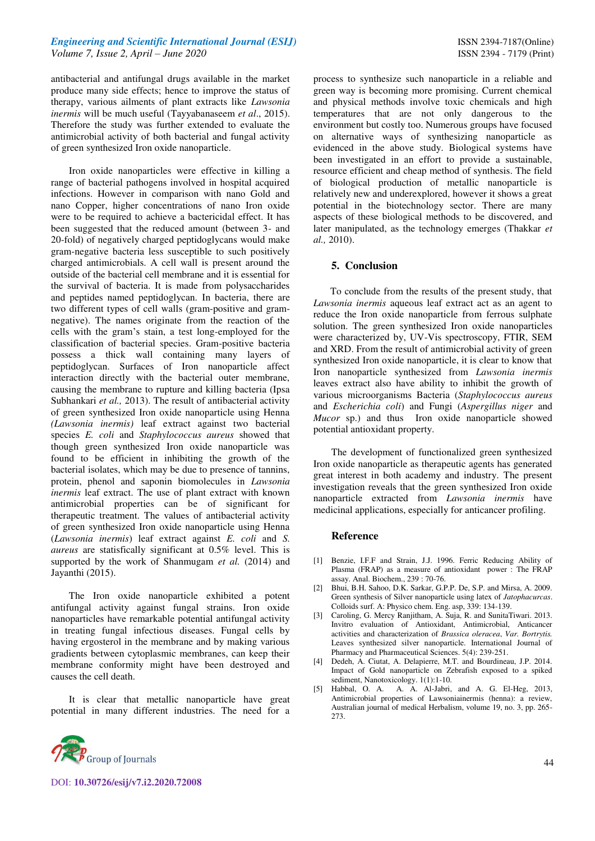antibacterial and antifungal drugs available in the market produce many side effects; hence to improve the status of therapy, various ailments of plant extracts like *Lawsonia inermis* will be much useful (Tayyabanaseem *et al*., 2015). Therefore the study was further extended to evaluate the antimicrobial activity of both bacterial and fungal activity of green synthesized Iron oxide nanoparticle.

Iron oxide nanoparticles were effective in killing a range of bacterial pathogens involved in hospital acquired infections. However in comparison with nano Gold and nano Copper, higher concentrations of nano Iron oxide were to be required to achieve a bactericidal effect. It has been suggested that the reduced amount (between 3- and 20-fold) of negatively charged peptidoglycans would make gram-negative bacteria less susceptible to such positively charged antimicrobials. A cell wall is present around the outside of the bacterial cell membrane and it is essential for the survival of bacteria. It is made from polysaccharides and peptides named peptidoglycan. In bacteria, there are two different types of cell walls (gram-positive and gramnegative). The names originate from the reaction of the cells with the gram's stain, a test long-employed for the classification of bacterial species. Gram-positive bacteria possess a thick wall containing many layers of peptidoglycan. Surfaces of Iron nanoparticle affect interaction directly with the bacterial outer membrane, causing the membrane to rupture and killing bacteria (Ipsa Subhankari *et al.,* 2013). The result of antibacterial activity of green synthesized Iron oxide nanoparticle using Henna *(Lawsonia inermis)* leaf extract against two bacterial species *E. coli* and *Staphylococcus aureus* showed that though green synthesized Iron oxide nanoparticle was found to be efficient in inhibiting the growth of the bacterial isolates, which may be due to presence of tannins, protein, phenol and saponin biomolecules in *Lawsonia inermis* leaf extract. The use of plant extract with known antimicrobial properties can be of significant for therapeutic treatment. The values of antibacterial activity of green synthesized Iron oxide nanoparticle using Henna (*Lawsonia inermis*) leaf extract against *E. coli* and *S. aureus* are statisfically significant at 0.5% level. This is supported by the work of Shanmugam et al. (2014) and Jayanthi (2015).

The Iron oxide nanoparticle exhibited a potent antifungal activity against fungal strains. Iron oxide nanoparticles have remarkable potential antifungal activity in treating fungal infectious diseases. Fungal cells by having ergosterol in the membrane and by making various gradients between cytoplasmic membranes, can keep their membrane conformity might have been destroyed and causes the cell death.

It is clear that metallic nanoparticle have great potential in many different industries. The need for a



process to synthesize such nanoparticle in a reliable and green way is becoming more promising. Current chemical and physical methods involve toxic chemicals and high temperatures that are not only dangerous to the environment but costly too. Numerous groups have focused on alternative ways of synthesizing nanoparticle as evidenced in the above study. Biological systems have been investigated in an effort to provide a sustainable, resource efficient and cheap method of synthesis. The field of biological production of metallic nanoparticle is relatively new and underexplored, however it shows a great potential in the biotechnology sector. There are many aspects of these biological methods to be discovered, and later manipulated, as the technology emerges (Thakkar *et al.,* 2010).

#### **5. Conclusion**

 To conclude from the results of the present study, that *Lawsonia inermis* aqueous leaf extract act as an agent to reduce the Iron oxide nanoparticle from ferrous sulphate solution. The green synthesized Iron oxide nanoparticles were characterized by, UV-Vis spectroscopy, FTIR, SEM and XRD. From the result of antimicrobial activity of green synthesized Iron oxide nanoparticle, it is clear to know that Iron nanoparticle synthesized from *Lawsonia inermis*  leaves extract also have ability to inhibit the growth of various microorganisms Bacteria (*Staphylococcus aureus* and *Escherichia coli*) and Fungi (*Aspergillus niger* and *Mucor* sp.) and thus Iron oxide nanoparticle showed potential antioxidant property.

The development of functionalized green synthesized Iron oxide nanoparticle as therapeutic agents has generated great interest in both academy and industry. The present investigation reveals that the green synthesized Iron oxide nanoparticle extracted from *Lawsonia inermis* have medicinal applications, especially for anticancer profiling.

#### **Reference**

- [1] Benzie, I.F.F and Strain, J.J. 1996. Ferric Reducing Ability of Plasma (FRAP) as a measure of antioxidant power : The FRAP assay. Anal. Biochem., 239 : 70-76.
- [2] Bhui, B.H. Sahoo, D.K. Sarkar, G.P.P. De, S.P. and Mirsa, A. 2009. Green synthesis of Silver nanoparticle using latex of *Jatophacurcas*. Colloids surf. A: Physico chem. Eng. asp, 339: 134-139.
- [3] Caroling, G. Mercy Ranjitham, A. Suja, R. and SunitaTiwari. 2013. Invitro evaluation of Antioxidant, Antimicrobial, Anticancer activities and characterization of *Brassica oleracea*, *Var. Bortrytis.* Leaves synthesized silver nanoparticle. International Journal of Pharmacy and Pharmaceutical Sciences. 5(4): 239-251.
- [4] Dedeh, A. Ciutat, A. Delapierre, M.T. and Bourdineau, J.P. 2014. Impact of Gold nanoparticle on Zebrafish exposed to a spiked sediment, Nanotoxicology. 1(1):1-10.
- [5] Habbal, O. A. A. A. Al-Jabri, and A. G. El-Heg, 2013, Antimicrobial properties of Lawsoniainermis (henna): a review, Australian journal of medical Herbalism, volume 19, no. 3, pp. 265- 273.